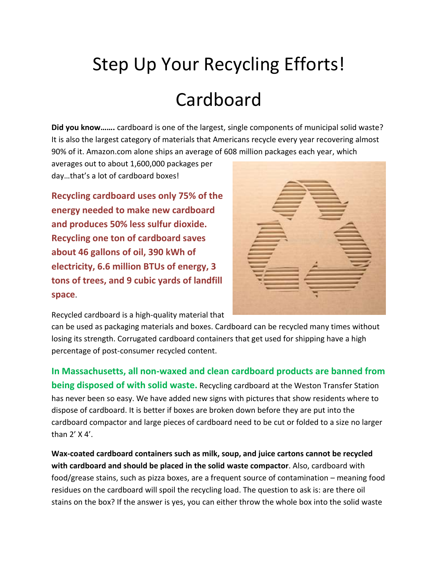## Step Up Your Recycling Efforts! Cardboard

**Did you know…….** cardboard is one of the largest, single components of municipal solid waste? It is also the largest category of materials that Americans recycle every year recovering almost 90% of it. Amazon.com alone ships an average of 608 million packages each year, which

averages out to about 1,600,000 packages per day…that's a lot of cardboard boxes!

**Recycling cardboard uses only 75% of the energy needed to make new cardboard and produces 50% less sulfur dioxide. Recycling one ton of cardboard saves about 46 gallons of oil, 390 kWh of electricity, 6.6 million BTUs of energy, 3 tons of trees, and 9 cubic yards of landfill space**.



Recycled cardboard is a high-quality material that

can be used as packaging materials and boxes. Cardboard can be recycled many times without losing its strength. Corrugated cardboard containers that get used for shipping have a high percentage of post-consumer recycled content.

**In Massachusetts, all non-waxed and clean cardboard products are banned from being disposed of with solid waste.** Recycling cardboard at the Weston Transfer Station has never been so easy. We have added new signs with pictures that show residents where to dispose of cardboard. It is better if boxes are broken down before they are put into the cardboard compactor and large pieces of cardboard need to be cut or folded to a size no larger than 2' X 4'.

**Wax-coated cardboard containers such as milk, soup, and juice cartons cannot be recycled with cardboard and should be placed in the solid waste compactor**. Also, cardboard with food/grease stains, such as pizza boxes, are a frequent source of contamination – meaning food residues on the cardboard will spoil the recycling load. The question to ask is: are there oil stains on the box? If the answer is yes, you can either throw the whole box into the solid waste